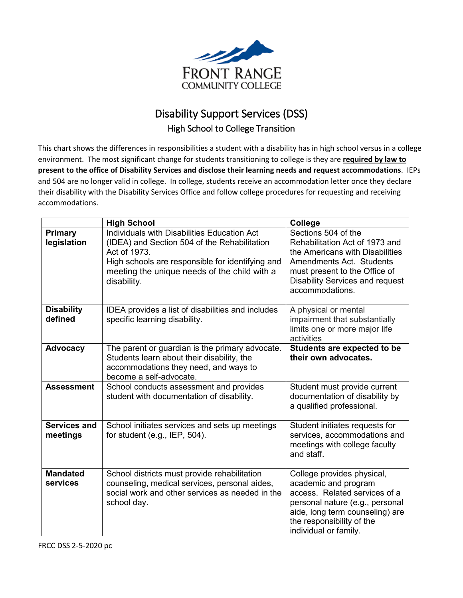

## Disability Support Services (DSS) High School to College Transition

This chart shows the differences in responsibilities a student with a disability has in high school versus in a college environment. The most significant change for students transitioning to college is they are **required by law to present to the office of Disability Services and disclose their learning needs and request accommodations**. IEPs and 504 are no longer valid in college. In college, students receive an accommodation letter once they declare their disability with the Disability Services Office and follow college procedures for requesting and receiving accommodations.

|                                 | <b>High School</b>                                                                                                                                                                                                             | <b>College</b>                                                                                                                                                                                                     |
|---------------------------------|--------------------------------------------------------------------------------------------------------------------------------------------------------------------------------------------------------------------------------|--------------------------------------------------------------------------------------------------------------------------------------------------------------------------------------------------------------------|
| <b>Primary</b><br>legislation   | Individuals with Disabilities Education Act<br>(IDEA) and Section 504 of the Rehabilitation<br>Act of 1973.<br>High schools are responsible for identifying and<br>meeting the unique needs of the child with a<br>disability. | Sections 504 of the<br>Rehabilitation Act of 1973 and<br>the Americans with Disabilities<br>Amendments Act. Students<br>must present to the Office of<br><b>Disability Services and request</b><br>accommodations. |
| <b>Disability</b><br>defined    | IDEA provides a list of disabilities and includes<br>specific learning disability.                                                                                                                                             | A physical or mental<br>impairment that substantially<br>limits one or more major life<br>activities                                                                                                               |
| <b>Advocacy</b>                 | The parent or guardian is the primary advocate.<br>Students learn about their disability, the<br>accommodations they need, and ways to<br>become a self-advocate.                                                              | Students are expected to be<br>their own advocates.                                                                                                                                                                |
| <b>Assessment</b>               | School conducts assessment and provides<br>student with documentation of disability.                                                                                                                                           | Student must provide current<br>documentation of disability by<br>a qualified professional.                                                                                                                        |
| <b>Services and</b><br>meetings | School initiates services and sets up meetings<br>for student (e.g., IEP, $504$ ).                                                                                                                                             | Student initiates requests for<br>services, accommodations and<br>meetings with college faculty<br>and staff.                                                                                                      |
| <b>Mandated</b><br>services     | School districts must provide rehabilitation<br>counseling, medical services, personal aides,<br>social work and other services as needed in the<br>school day.                                                                | College provides physical,<br>academic and program<br>access. Related services of a<br>personal nature (e.g., personal<br>aide, long term counseling) are<br>the responsibility of the<br>individual or family.    |